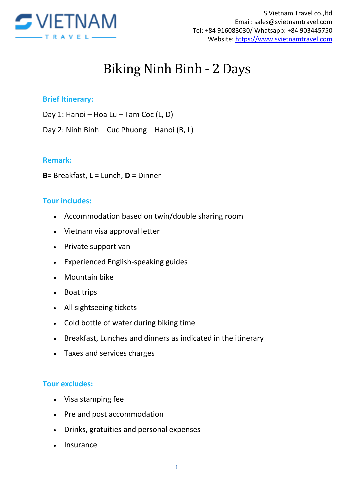

# Biking Ninh Binh - 2 Days

#### **Brief Itinerary:**

- Day 1: Hanoi Hoa Lu Tam Coc (L, D)
- Day 2: Ninh Binh Cuc Phuong Hanoi (B, L)

#### **Remark:**

**B=** Breakfast, **L =** Lunch, **D =** Dinner

#### **Tour includes:**

- Accommodation based on twin/double sharing room
- Vietnam visa approval letter
- Private support van
- Experienced English-speaking guides
- Mountain bike
- Boat trips
- All sightseeing tickets
- Cold bottle of water during biking time
- Breakfast, Lunches and dinners as indicated in the itinerary
- Taxes and services charges

#### **Tour excludes:**

- Visa stamping fee
- Pre and post accommodation
- Drinks, gratuities and personal expenses
- Insurance